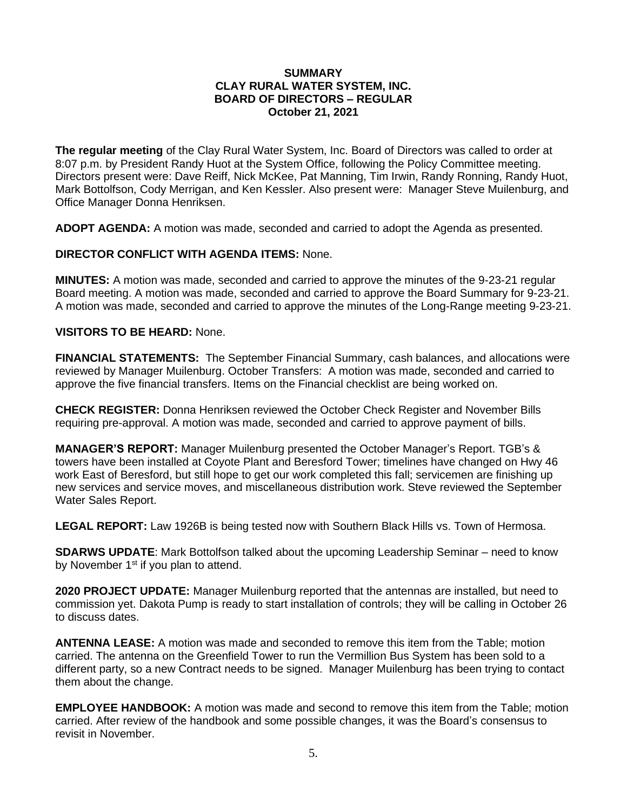## **SUMMARY CLAY RURAL WATER SYSTEM, INC. BOARD OF DIRECTORS – REGULAR October 21, 2021**

**The regular meeting** of the Clay Rural Water System, Inc. Board of Directors was called to order at 8:07 p.m. by President Randy Huot at the System Office, following the Policy Committee meeting. Directors present were: Dave Reiff, Nick McKee, Pat Manning, Tim Irwin, Randy Ronning, Randy Huot, Mark Bottolfson, Cody Merrigan, and Ken Kessler. Also present were: Manager Steve Muilenburg, and Office Manager Donna Henriksen.

**ADOPT AGENDA:** A motion was made, seconded and carried to adopt the Agenda as presented.

**DIRECTOR CONFLICT WITH AGENDA ITEMS:** None.

**MINUTES:** A motion was made, seconded and carried to approve the minutes of the 9-23-21 regular Board meeting. A motion was made, seconded and carried to approve the Board Summary for 9-23-21. A motion was made, seconded and carried to approve the minutes of the Long-Range meeting 9-23-21.

## **VISITORS TO BE HEARD:** None.

**FINANCIAL STATEMENTS:** The September Financial Summary, cash balances, and allocations were reviewed by Manager Muilenburg. October Transfers: A motion was made, seconded and carried to approve the five financial transfers. Items on the Financial checklist are being worked on.

**CHECK REGISTER:** Donna Henriksen reviewed the October Check Register and November Bills requiring pre-approval. A motion was made, seconded and carried to approve payment of bills.

**MANAGER'S REPORT:** Manager Muilenburg presented the October Manager's Report. TGB's & towers have been installed at Coyote Plant and Beresford Tower; timelines have changed on Hwy 46 work East of Beresford, but still hope to get our work completed this fall; servicemen are finishing up new services and service moves, and miscellaneous distribution work. Steve reviewed the September Water Sales Report.

**LEGAL REPORT:** Law 1926B is being tested now with Southern Black Hills vs. Town of Hermosa.

**SDARWS UPDATE**: Mark Bottolfson talked about the upcoming Leadership Seminar – need to know by November 1<sup>st</sup> if you plan to attend.

**2020 PROJECT UPDATE:** Manager Muilenburg reported that the antennas are installed, but need to commission yet. Dakota Pump is ready to start installation of controls; they will be calling in October 26 to discuss dates.

**ANTENNA LEASE:** A motion was made and seconded to remove this item from the Table; motion carried. The antenna on the Greenfield Tower to run the Vermillion Bus System has been sold to a different party, so a new Contract needs to be signed. Manager Muilenburg has been trying to contact them about the change.

**EMPLOYEE HANDBOOK:** A motion was made and second to remove this item from the Table; motion carried. After review of the handbook and some possible changes, it was the Board's consensus to revisit in November.